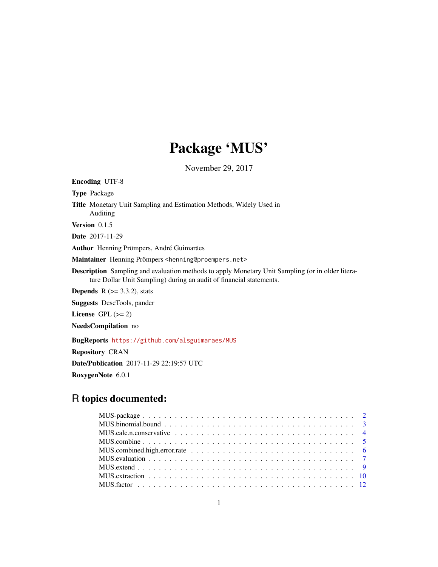# Package 'MUS'

November 29, 2017

Encoding UTF-8

Type Package

Title Monetary Unit Sampling and Estimation Methods, Widely Used in Auditing

Version 0.1.5

Date 2017-11-29

Author Henning Prömpers, André Guimarães

Maintainer Henning Prömpers <henning@proempers.net>

Description Sampling and evaluation methods to apply Monetary Unit Sampling (or in older literature Dollar Unit Sampling) during an audit of financial statements.

**Depends** R  $(>= 3.3.2)$ , stats

Suggests DescTools, pander

License GPL  $(>= 2)$ 

NeedsCompilation no

BugReports <https://github.com/alsguimaraes/MUS>

Repository CRAN

Date/Publication 2017-11-29 22:19:57 UTC

RoxygenNote 6.0.1

# R topics documented: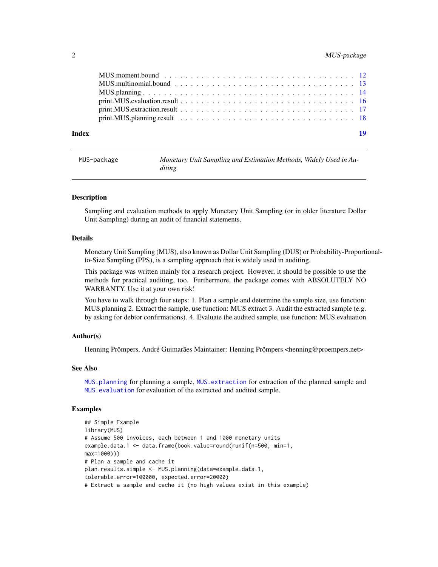### <span id="page-1-0"></span>2 MUS-package

MUS-package *Monetary Unit Sampling and Estimation Methods, Widely Used in Auditing*

#### Description

Sampling and evaluation methods to apply Monetary Unit Sampling (or in older literature Dollar Unit Sampling) during an audit of financial statements.

#### Details

Monetary Unit Sampling (MUS), also known as Dollar Unit Sampling (DUS) or Probability-Proportionalto-Size Sampling (PPS), is a sampling approach that is widely used in auditing.

This package was written mainly for a research project. However, it should be possible to use the methods for practical auditing, too. Furthermore, the package comes with ABSOLUTELY NO WARRANTY. Use it at your own risk!

You have to walk through four steps: 1. Plan a sample and determine the sample size, use function: MUS.planning 2. Extract the sample, use function: MUS.extract 3. Audit the extracted sample (e.g. by asking for debtor confirmations). 4. Evaluate the audited sample, use function: MUS.evaluation

#### Author(s)

Henning Prömpers, André Guimarães Maintainer: Henning Prömpers <henning@proempers.net>

#### See Also

[MUS.planning](#page-13-1) for planning a sample, [MUS.extraction](#page-9-1) for extraction of the planned sample and [MUS.evaluation](#page-6-1) for evaluation of the extracted and audited sample.

```
## Simple Example
library(MUS)
# Assume 500 invoices, each between 1 and 1000 monetary units
example.data.1 <- data.frame(book.value=round(runif(n=500, min=1,
max=1000)))
# Plan a sample and cache it
plan.results.simple <- MUS.planning(data=example.data.1,
tolerable.error=100000, expected.error=20000)
# Extract a sample and cache it (no high values exist in this example)
```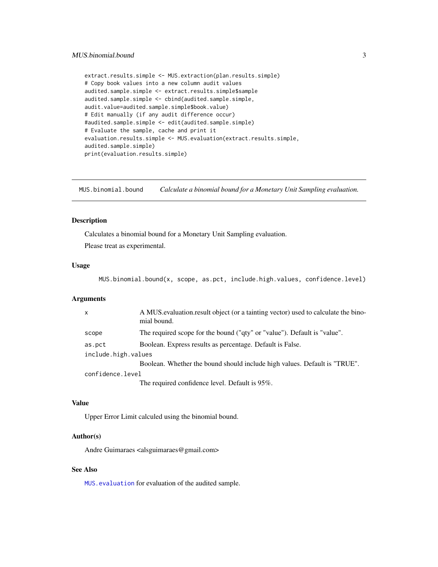```
extract.results.simple <- MUS.extraction(plan.results.simple)
# Copy book values into a new column audit values
audited.sample.simple <- extract.results.simple$sample
audited.sample.simple <- cbind(audited.sample.simple,
audit.value=audited.sample.simple$book.value)
# Edit manually (if any audit difference occur)
#audited.sample.simple <- edit(audited.sample.simple)
# Evaluate the sample, cache and print it
evaluation.results.simple <- MUS.evaluation(extract.results.simple,
audited.sample.simple)
print(evaluation.results.simple)
```
MUS.binomial.bound *Calculate a binomial bound for a Monetary Unit Sampling evaluation.*

# Description

Calculates a binomial bound for a Monetary Unit Sampling evaluation.

Please treat as experimental.

#### Usage

MUS.binomial.bound(x, scope, as.pct, include.high.values, confidence.level)

#### Arguments

| $\mathsf{x}$        | A MUS evaluation result object (or a tainting vector) used to calculate the bino-<br>mial bound. |  |
|---------------------|--------------------------------------------------------------------------------------------------|--|
| scope               | The required scope for the bound ("qty" or "value"). Default is "value".                         |  |
| as.pct              | Boolean. Express results as percentage. Default is False.                                        |  |
| include.high.values |                                                                                                  |  |
|                     | Boolean. Whether the bound should include high values. Default is "TRUE".                        |  |
| confidence.level    |                                                                                                  |  |
|                     | The required confidence level. Default is 95%.                                                   |  |

#### Value

Upper Error Limit calculed using the binomial bound.

#### Author(s)

Andre Guimaraes <alsguimaraes@gmail.com>

#### See Also

[MUS.evaluation](#page-6-1) for evaluation of the audited sample.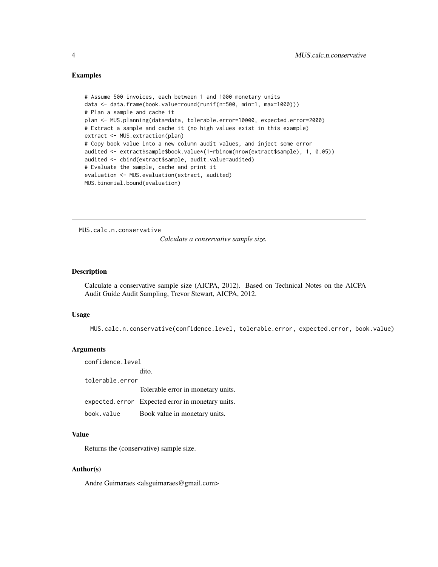#### <span id="page-3-0"></span>Examples

```
# Assume 500 invoices, each between 1 and 1000 monetary units
data <- data.frame(book.value=round(runif(n=500, min=1, max=1000)))
# Plan a sample and cache it
plan <- MUS.planning(data=data, tolerable.error=10000, expected.error=2000)
# Extract a sample and cache it (no high values exist in this example)
extract <- MUS.extraction(plan)
# Copy book value into a new column audit values, and inject some error
audited <- extract$sample$book.value*(1-rbinom(nrow(extract$sample), 1, 0.05))
audited <- cbind(extract$sample, audit.value=audited)
# Evaluate the sample, cache and print it
evaluation <- MUS.evaluation(extract, audited)
MUS.binomial.bound(evaluation)
```
MUS.calc.n.conservative

*Calculate a conservative sample size.*

#### Description

Calculate a conservative sample size (AICPA, 2012). Based on Technical Notes on the AICPA Audit Guide Audit Sampling, Trevor Stewart, AICPA, 2012.

#### Usage

MUS.calc.n.conservative(confidence.level, tolerable.error, expected.error, book.value)

#### Arguments

confidence.level dito. tolerable.error Tolerable error in monetary units. expected.error Expected error in monetary units. book.value Book value in monetary units.

#### Value

Returns the (conservative) sample size.

#### Author(s)

Andre Guimaraes <alsguimaraes@gmail.com>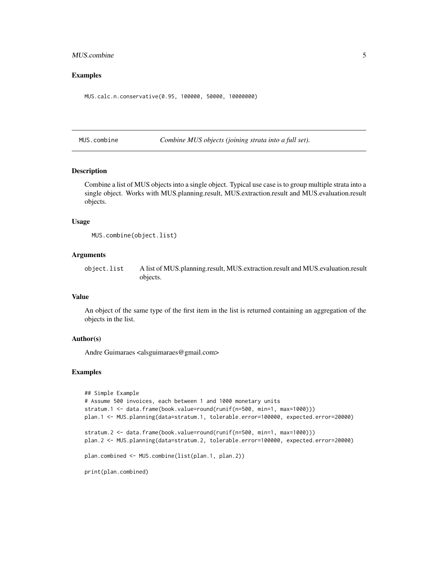#### <span id="page-4-0"></span>MUS.combine 5

#### Examples

MUS.calc.n.conservative(0.95, 100000, 50000, 10000000)

<span id="page-4-1"></span>MUS.combine *Combine MUS objects (joining strata into a full set).*

#### Description

Combine a list of MUS objects into a single object. Typical use case is to group multiple strata into a single object. Works with MUS.planning.result, MUS.extraction.result and MUS.evaluation.result objects.

#### Usage

```
MUS.combine(object.list)
```
#### Arguments

object.list A list of MUS.planning.result, MUS.extraction.result and MUS.evaluation.result objects.

#### Value

An object of the same type of the first item in the list is returned containing an aggregation of the objects in the list.

#### Author(s)

Andre Guimaraes <alsguimaraes@gmail.com>

```
## Simple Example
# Assume 500 invoices, each between 1 and 1000 monetary units
stratum.1 <- data.frame(book.value=round(runif(n=500, min=1, max=1000)))
plan.1 <- MUS.planning(data=stratum.1, tolerable.error=100000, expected.error=20000)
stratum.2 <- data.frame(book.value=round(runif(n=500, min=1, max=1000)))
plan.2 <- MUS.planning(data=stratum.2, tolerable.error=100000, expected.error=20000)
plan.combined <- MUS.combine(list(plan.1, plan.2))
print(plan.combined)
```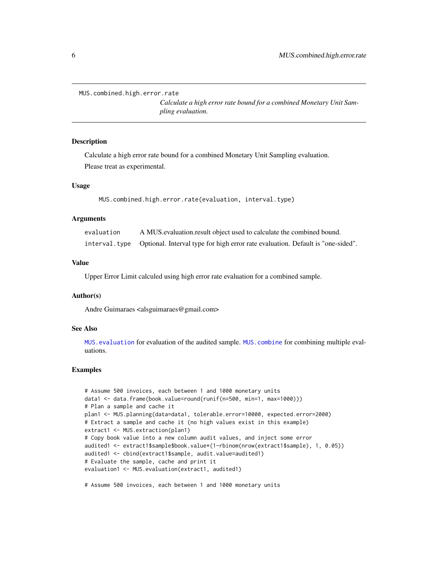<span id="page-5-0"></span>MUS.combined.high.error.rate

*Calculate a high error rate bound for a combined Monetary Unit Sampling evaluation.*

#### **Description**

Calculate a high error rate bound for a combined Monetary Unit Sampling evaluation. Please treat as experimental.

#### Usage

MUS.combined.high.error.rate(evaluation, interval.type)

#### Arguments

| evaluation    | A MUS evaluation result object used to calculate the combined bound.            |
|---------------|---------------------------------------------------------------------------------|
| interval.type | Optional. Interval type for high error rate evaluation. Default is "one-sided". |

#### Value

Upper Error Limit calculed using high error rate evaluation for a combined sample.

#### Author(s)

Andre Guimaraes <alsguimaraes@gmail.com>

#### See Also

[MUS.evaluation](#page-6-1) for evaluation of the audited sample. [MUS.combine](#page-4-1) for combining multiple evaluations.

#### Examples

```
# Assume 500 invoices, each between 1 and 1000 monetary units
data1 <- data.frame(book.value=round(runif(n=500, min=1, max=1000)))
# Plan a sample and cache it
plan1 <- MUS.planning(data=data1, tolerable.error=10000, expected.error=2000)
# Extract a sample and cache it (no high values exist in this example)
extract1 <- MUS.extraction(plan1)
# Copy book value into a new column audit values, and inject some error
audited1 <- extract1$sample$book.value*(1-rbinom(nrow(extract1$sample), 1, 0.05))
audited1 <- cbind(extract1$sample, audit.value=audited1)
# Evaluate the sample, cache and print it
evaluation1 <- MUS.evaluation(extract1, audited1)
```
# Assume 500 invoices, each between 1 and 1000 monetary units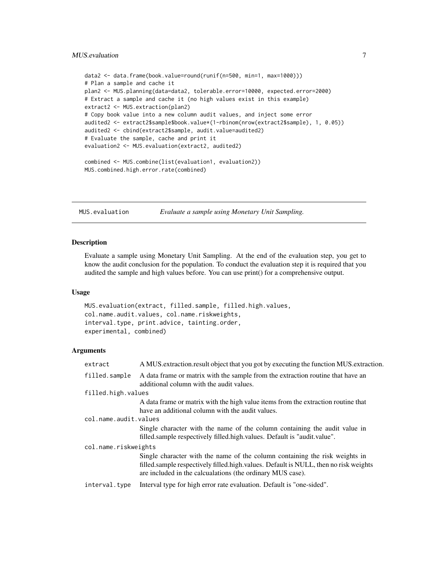#### <span id="page-6-0"></span>MUS.evaluation 7

```
data2 <- data.frame(book.value=round(runif(n=500, min=1, max=1000)))
# Plan a sample and cache it
plan2 <- MUS.planning(data=data2, tolerable.error=10000, expected.error=2000)
# Extract a sample and cache it (no high values exist in this example)
extract2 <- MUS.extraction(plan2)
# Copy book value into a new column audit values, and inject some error
audited2 <- extract2$sample$book.value*(1-rbinom(nrow(extract2$sample), 1, 0.05))
audited2 <- cbind(extract2$sample, audit.value=audited2)
# Evaluate the sample, cache and print it
evaluation2 <- MUS.evaluation(extract2, audited2)
combined <- MUS.combine(list(evaluation1, evaluation2))
MUS.combined.high.error.rate(combined)
```
<span id="page-6-1"></span>

MUS.evaluation *Evaluate a sample using Monetary Unit Sampling.*

#### **Description**

Evaluate a sample using Monetary Unit Sampling. At the end of the evaluation step, you get to know the audit conclusion for the population. To conduct the evaluation step it is required that you audited the sample and high values before. You can use print() for a comprehensive output.

#### Usage

```
MUS.evaluation(extract, filled.sample, filled.high.values,
col.name.audit.values, col.name.riskweights,
interval.type, print.advice, tainting.order,
experimental, combined)
```

| extract               | A MUS extraction result object that you got by executing the function MUS extraction.                                                                                                                                             |
|-----------------------|-----------------------------------------------------------------------------------------------------------------------------------------------------------------------------------------------------------------------------------|
| filled.sample         | A data frame or matrix with the sample from the extraction routine that have an<br>additional column with the audit values.                                                                                                       |
| filled.high.values    |                                                                                                                                                                                                                                   |
|                       | A data frame or matrix with the high value items from the extraction routine that<br>have an additional column with the audit values.                                                                                             |
| col.name.audit.values |                                                                                                                                                                                                                                   |
|                       | Single character with the name of the column containing the audit value in<br>filled sample respectively filled high values. Default is "audit value".                                                                            |
| col.name.riskweights  |                                                                                                                                                                                                                                   |
|                       | Single character with the name of the column containing the risk weights in<br>filled.sample respectively filled.high.values. Default is NULL, then no risk weights<br>are included in the calcualations (the ordinary MUS case). |
| interval.type         | Interval type for high error rate evaluation. Default is "one-sided".                                                                                                                                                             |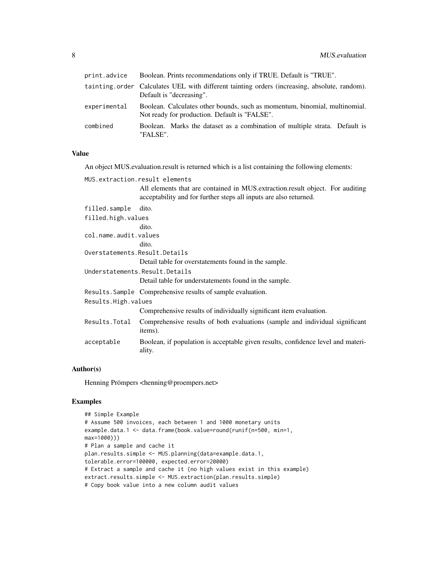| print.advice | Boolean. Prints recommendations only if TRUE. Default is "TRUE".                                                            |
|--------------|-----------------------------------------------------------------------------------------------------------------------------|
|              | tainting order Calculates UEL with different tainting orders (increasing, absolute, random).<br>Default is "decreasing".    |
| experimental | Boolean. Calculates other bounds, such as momentum, binomial, multinomial.<br>Not ready for production. Default is "FALSE". |
| combined     | Boolean. Marks the dataset as a combination of multiple strata. Default is<br>"FALSE".                                      |

#### Value

An object MUS.evaluation.result is returned which is a list containing the following elements:

|                                 | MUS.extraction.result elements                                                                                                                     |  |
|---------------------------------|----------------------------------------------------------------------------------------------------------------------------------------------------|--|
|                                 | All elements that are contained in MUS extraction result object. For auditing<br>acceptability and for further steps all inputs are also returned. |  |
| filled.sample                   | dito.                                                                                                                                              |  |
| filled.high.values              |                                                                                                                                                    |  |
|                                 | dito.                                                                                                                                              |  |
| col.name.audit.values           |                                                                                                                                                    |  |
|                                 | dito.                                                                                                                                              |  |
| Overstatements. Result. Details |                                                                                                                                                    |  |
|                                 | Detail table for overstatements found in the sample.                                                                                               |  |
|                                 | Understatements. Result. Details                                                                                                                   |  |
|                                 | Detail table for understatements found in the sample.                                                                                              |  |
|                                 | Results. Sample Comprehensive results of sample evaluation.                                                                                        |  |
| Results.High.values             |                                                                                                                                                    |  |
|                                 | Comprehensive results of individually significant item evaluation.                                                                                 |  |
| Results.Total                   | Comprehensive results of both evaluations (sample and individual significant<br>items).                                                            |  |
| acceptable                      | Boolean, if population is acceptable given results, confidence level and materi-<br>ality.                                                         |  |

# Author(s)

Henning Prömpers <henning@proempers.net>

```
## Simple Example
# Assume 500 invoices, each between 1 and 1000 monetary units
example.data.1 <- data.frame(book.value=round(runif(n=500, min=1,
max=1000)))
# Plan a sample and cache it
plan.results.simple <- MUS.planning(data=example.data.1,
tolerable.error=100000, expected.error=20000)
# Extract a sample and cache it (no high values exist in this example)
extract.results.simple <- MUS.extraction(plan.results.simple)
# Copy book value into a new column audit values
```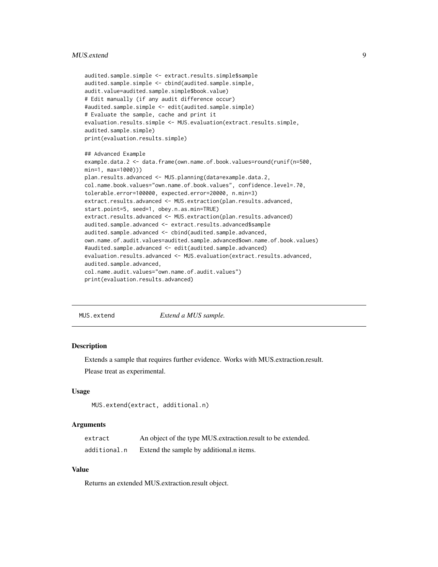#### <span id="page-8-0"></span>MUS.extend 9

```
audited.sample.simple <- extract.results.simple$sample
audited.sample.simple <- cbind(audited.sample.simple,
audit.value=audited.sample.simple$book.value)
# Edit manually (if any audit difference occur)
#audited.sample.simple <- edit(audited.sample.simple)
# Evaluate the sample, cache and print it
evaluation.results.simple <- MUS.evaluation(extract.results.simple,
audited.sample.simple)
print(evaluation.results.simple)
## Advanced Example
example.data.2 <- data.frame(own.name.of.book.values=round(runif(n=500,
min=1, max=1000)))
plan.results.advanced <- MUS.planning(data=example.data.2,
col.name.book.values="own.name.of.book.values", confidence.level=.70,
tolerable.error=100000, expected.error=20000, n.min=3)
extract.results.advanced <- MUS.extraction(plan.results.advanced,
start.point=5, seed=1, obey.n.as.min=TRUE)
extract.results.advanced <- MUS.extraction(plan.results.advanced)
audited.sample.advanced <- extract.results.advanced$sample
audited.sample.advanced <- cbind(audited.sample.advanced,
own.name.of.audit.values=audited.sample.advanced$own.name.of.book.values)
#audited.sample.advanced <- edit(audited.sample.advanced)
evaluation.results.advanced <- MUS.evaluation(extract.results.advanced,
audited.sample.advanced,
col.name.audit.values="own.name.of.audit.values")
print(evaluation.results.advanced)
```
MUS.extend *Extend a MUS sample.*

#### **Description**

Extends a sample that requires further evidence. Works with MUS.extraction.result.

Please treat as experimental.

#### Usage

```
MUS.extend(extract, additional.n)
```
#### Arguments

| extract      | An object of the type MUS extraction result to be extended. |
|--------------|-------------------------------------------------------------|
| additional.n | Extend the sample by additional n items.                    |

# Value

Returns an extended MUS.extraction.result object.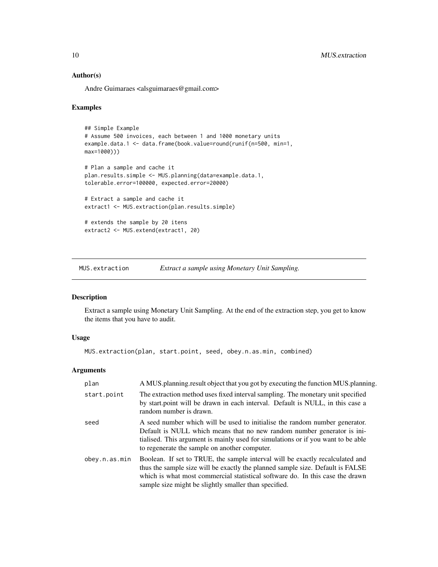Andre Guimaraes <alsguimaraes@gmail.com>

#### Examples

```
## Simple Example
# Assume 500 invoices, each between 1 and 1000 monetary units
example.data.1 <- data.frame(book.value=round(runif(n=500, min=1,
max=1000)))
# Plan a sample and cache it
plan.results.simple <- MUS.planning(data=example.data.1,
tolerable.error=100000, expected.error=20000)
# Extract a sample and cache it
extract1 <- MUS.extraction(plan.results.simple)
# extends the sample by 20 itens
extract2 <- MUS.extend(extract1, 20)
```
<span id="page-9-1"></span>MUS.extraction *Extract a sample using Monetary Unit Sampling.*

#### Description

Extract a sample using Monetary Unit Sampling. At the end of the extraction step, you get to know the items that you have to audit.

#### Usage

MUS.extraction(plan, start.point, seed, obey.n.as.min, combined)

| plan          | A MUS planning result object that you got by executing the function MUS planning.                                                                                                                                                                                                                         |
|---------------|-----------------------------------------------------------------------------------------------------------------------------------------------------------------------------------------------------------------------------------------------------------------------------------------------------------|
| start.point   | The extraction method uses fixed interval sampling. The monetary unit specified<br>by start.point will be drawn in each interval. Default is NULL, in this case a<br>random number is drawn.                                                                                                              |
| seed          | A seed number which will be used to initialise the random number generator.<br>Default is NULL which means that no new random number generator is in-<br>tialised. This argument is mainly used for simulations or if you want to be able<br>to regenerate the sample on another computer.                |
| obey.n.as.min | Boolean. If set to TRUE, the sample interval will be exactly recalculated and<br>thus the sample size will be exactly the planned sample size. Default is FALSE<br>which is what most commercial statistical software do. In this case the drawn<br>sample size might be slightly smaller than specified. |

<span id="page-9-0"></span>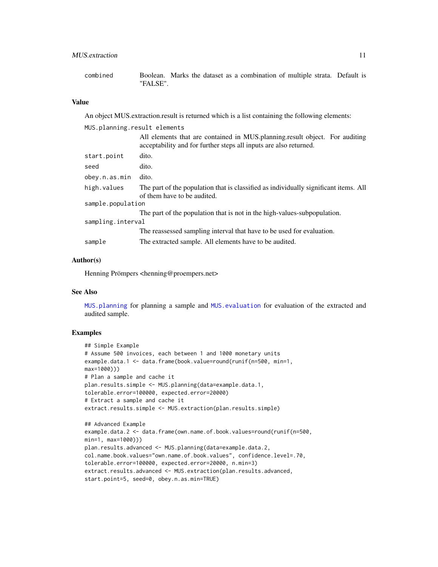<span id="page-10-0"></span>combined Boolean. Marks the dataset as a combination of multiple strata. Default is "FALSE".

#### Value

An object MUS.extraction.result is returned which is a list containing the following elements:

| MUS.planning.result elements |                                                                                                                                                  |
|------------------------------|--------------------------------------------------------------------------------------------------------------------------------------------------|
|                              | All elements that are contained in MUS planning result object. For auditing<br>acceptability and for further steps all inputs are also returned. |
| start.point                  | dito.                                                                                                                                            |
| seed                         | dito.                                                                                                                                            |
| obey.n.as.min                | dito.                                                                                                                                            |
| high.values                  | The part of the population that is classified as individually significant items. All<br>of them have to be audited.                              |
| sample.population            |                                                                                                                                                  |
|                              | The part of the population that is not in the high-values-subpopulation.                                                                         |
| sampling.interval            |                                                                                                                                                  |
|                              | The reassessed sampling interval that have to be used for evaluation.                                                                            |
| sample                       | The extracted sample. All elements have to be audited.                                                                                           |
|                              |                                                                                                                                                  |

#### Author(s)

Henning Prömpers <henning@proempers.net>

#### See Also

[MUS.planning](#page-13-1) for planning a sample and [MUS.evaluation](#page-6-1) for evaluation of the extracted and audited sample.

```
## Simple Example
# Assume 500 invoices, each between 1 and 1000 monetary units
example.data.1 <- data.frame(book.value=round(runif(n=500, min=1,
max=1000)))
# Plan a sample and cache it
plan.results.simple <- MUS.planning(data=example.data.1,
tolerable.error=100000, expected.error=20000)
# Extract a sample and cache it
extract.results.simple <- MUS.extraction(plan.results.simple)
```

```
## Advanced Example
example.data.2 <- data.frame(own.name.of.book.values=round(runif(n=500,
min=1, max=1000)))
plan.results.advanced <- MUS.planning(data=example.data.2,
col.name.book.values="own.name.of.book.values", confidence.level=.70,
tolerable.error=100000, expected.error=20000, n.min=3)
extract.results.advanced <- MUS.extraction(plan.results.advanced,
start.point=5, seed=0, obey.n.as.min=TRUE)
```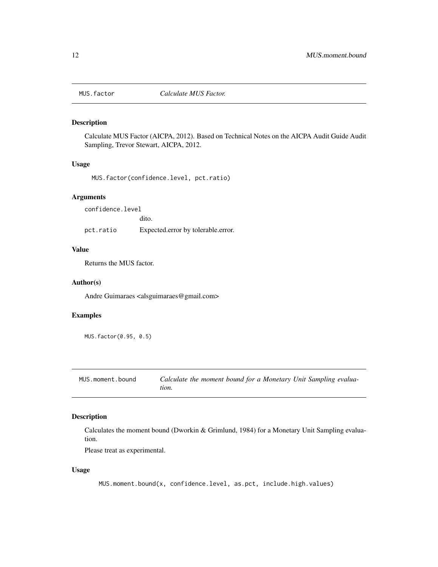<span id="page-11-0"></span>

#### Description

Calculate MUS Factor (AICPA, 2012). Based on Technical Notes on the AICPA Audit Guide Audit Sampling, Trevor Stewart, AICPA, 2012.

#### Usage

MUS.factor(confidence.level, pct.ratio)

#### Arguments

confidence.level

dito.

pct.ratio Expected.error by tolerable.error.

#### Value

Returns the MUS factor.

#### Author(s)

Andre Guimaraes <alsguimaraes@gmail.com>

## Examples

MUS.factor(0.95, 0.5)

MUS.moment.bound *Calculate the moment bound for a Monetary Unit Sampling evaluation.*

### Description

Calculates the moment bound (Dworkin & Grimlund, 1984) for a Monetary Unit Sampling evaluation.

Please treat as experimental.

#### Usage

MUS.moment.bound(x, confidence.level, as.pct, include.high.values)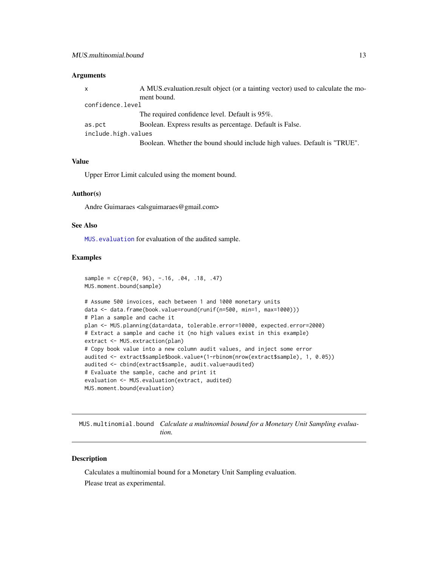#### <span id="page-12-0"></span>Arguments

| x                   | A MUS evaluation result object (or a tainting vector) used to calculate the mo- |
|---------------------|---------------------------------------------------------------------------------|
|                     | ment bound.                                                                     |
| confidence.level    |                                                                                 |
|                     | The required confidence level. Default is 95%.                                  |
| as.pct              | Boolean. Express results as percentage. Default is False.                       |
| include.high.values |                                                                                 |
|                     | Boolean. Whether the bound should include high values. Default is "TRUE".       |

#### Value

Upper Error Limit calculed using the moment bound.

#### Author(s)

Andre Guimaraes <alsguimaraes@gmail.com>

### See Also

[MUS.evaluation](#page-6-1) for evaluation of the audited sample.

#### Examples

```
sample = c(rep(\theta, 96), -.16, .04, .18, .47)MUS.moment.bound(sample)
# Assume 500 invoices, each between 1 and 1000 monetary units
data <- data.frame(book.value=round(runif(n=500, min=1, max=1000)))
# Plan a sample and cache it
plan <- MUS.planning(data=data, tolerable.error=10000, expected.error=2000)
# Extract a sample and cache it (no high values exist in this example)
extract <- MUS.extraction(plan)
# Copy book value into a new column audit values, and inject some error
audited <- extract$sample$book.value*(1-rbinom(nrow(extract$sample), 1, 0.05))
audited <- cbind(extract$sample, audit.value=audited)
# Evaluate the sample, cache and print it
evaluation <- MUS.evaluation(extract, audited)
MUS.moment.bound(evaluation)
```
MUS.multinomial.bound *Calculate a multinomial bound for a Monetary Unit Sampling evaluation.*

#### Description

Calculates a multinomial bound for a Monetary Unit Sampling evaluation. Please treat as experimental.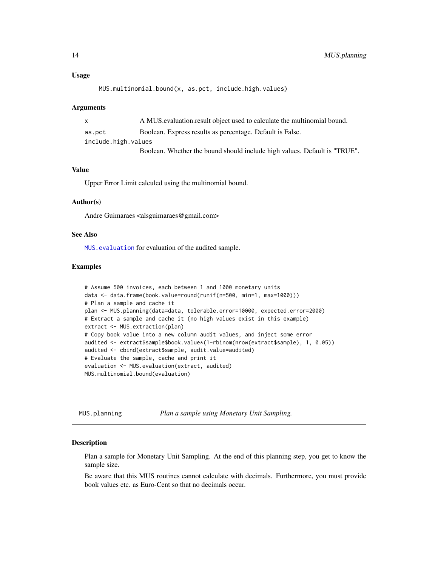#### <span id="page-13-0"></span>Usage

```
MUS.multinomial.bound(x, as.pct, include.high.values)
```
#### Arguments

| $\mathsf{x}$        | A MUS evaluation result object used to calculate the multinomial bound.   |
|---------------------|---------------------------------------------------------------------------|
| as.pct              | Boolean. Express results as percentage. Default is False.                 |
| include.high.values |                                                                           |
|                     | Boolean. Whether the bound should include high values. Default is "TRUE". |

#### Value

Upper Error Limit calculed using the multinomial bound.

#### Author(s)

Andre Guimaraes <alsguimaraes@gmail.com>

#### See Also

[MUS.evaluation](#page-6-1) for evaluation of the audited sample.

#### Examples

```
# Assume 500 invoices, each between 1 and 1000 monetary units
data <- data.frame(book.value=round(runif(n=500, min=1, max=1000)))
# Plan a sample and cache it
plan <- MUS.planning(data=data, tolerable.error=10000, expected.error=2000)
# Extract a sample and cache it (no high values exist in this example)
extract <- MUS.extraction(plan)
# Copy book value into a new column audit values, and inject some error
audited <- extract$sample$book.value*(1-rbinom(nrow(extract$sample), 1, 0.05))
audited <- cbind(extract$sample, audit.value=audited)
# Evaluate the sample, cache and print it
evaluation <- MUS.evaluation(extract, audited)
MUS.multinomial.bound(evaluation)
```
<span id="page-13-1"></span>MUS.planning *Plan a sample using Monetary Unit Sampling.*

#### Description

Plan a sample for Monetary Unit Sampling. At the end of this planning step, you get to know the sample size.

Be aware that this MUS routines cannot calculate with decimals. Furthermore, you must provide book values etc. as Euro-Cent so that no decimals occur.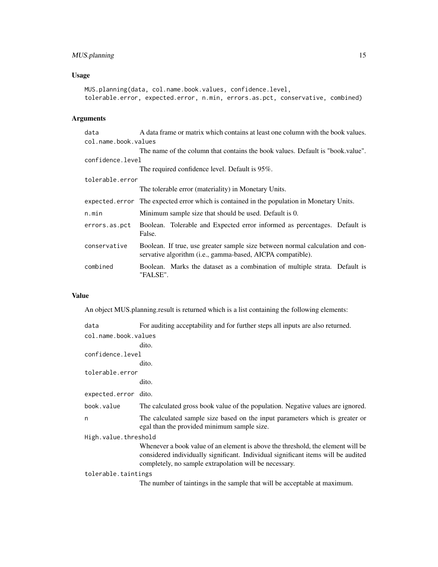# MUS.planning 15

# Usage

```
MUS.planning(data, col.name.book.values, confidence.level,
tolerable.error, expected.error, n.min, errors.as.pct, conservative, combined)
```
# Arguments

| data                 | A data frame or matrix which contains at least one column with the book values.                                                                      |
|----------------------|------------------------------------------------------------------------------------------------------------------------------------------------------|
| col.name.book.values |                                                                                                                                                      |
|                      | The name of the column that contains the book values. Default is "book value".                                                                       |
| confidence.level     |                                                                                                                                                      |
|                      | The required confidence level. Default is 95%.                                                                                                       |
| tolerable.error      |                                                                                                                                                      |
|                      | The tolerable error (materiality) in Monetary Units.                                                                                                 |
|                      | expected error The expected error which is contained in the population in Monetary Units.                                                            |
| n.min                | Minimum sample size that should be used. Default is 0.                                                                                               |
| errors.as.pct        | Boolean. Tolerable and Expected error informed as percentages. Default is<br>False.                                                                  |
| conservative         | Boolean. If true, use greater sample size between normal calculation and con-<br>servative algorithm ( <i>i.e.</i> , gamma-based, AICPA compatible). |
| combined             | Boolean. Marks the dataset as a combination of multiple strata. Default is<br>"FALSE".                                                               |

# Value

An object MUS.planning.result is returned which is a list containing the following elements:

| data                 | For auditing acceptability and for further steps all inputs are also returned.                                                                                                                                                 |  |
|----------------------|--------------------------------------------------------------------------------------------------------------------------------------------------------------------------------------------------------------------------------|--|
| col.name.book.values |                                                                                                                                                                                                                                |  |
|                      | dito.                                                                                                                                                                                                                          |  |
| confidence.level     |                                                                                                                                                                                                                                |  |
|                      | dito.                                                                                                                                                                                                                          |  |
| tolerable.error      |                                                                                                                                                                                                                                |  |
|                      | dito.                                                                                                                                                                                                                          |  |
| expected.error dito. |                                                                                                                                                                                                                                |  |
| book.value           | The calculated gross book value of the population. Negative values are ignored.                                                                                                                                                |  |
| n                    | The calculated sample size based on the input parameters which is greater or<br>egal than the provided minimum sample size.                                                                                                    |  |
| High.value.threshold |                                                                                                                                                                                                                                |  |
|                      | Whenever a book value of an element is above the threshold, the element will be<br>considered individually significant. Individual significant items will be audited<br>completely, no sample extrapolation will be necessary. |  |
| tolerable.taintings  |                                                                                                                                                                                                                                |  |
|                      | The number of taintings in the sample that will be acceptable at maximum.                                                                                                                                                      |  |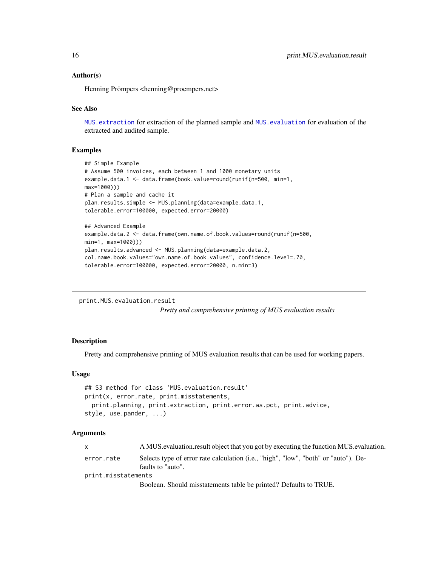<span id="page-15-0"></span>Henning Prömpers <henning@proempers.net>

#### See Also

[MUS.extraction](#page-9-1) for extraction of the planned sample and [MUS.evaluation](#page-6-1) for evaluation of the extracted and audited sample.

### Examples

```
## Simple Example
# Assume 500 invoices, each between 1 and 1000 monetary units
example.data.1 <- data.frame(book.value=round(runif(n=500, min=1,
max=1000)))
# Plan a sample and cache it
plan.results.simple <- MUS.planning(data=example.data.1,
tolerable.error=100000, expected.error=20000)
## Advanced Example
example.data.2 <- data.frame(own.name.of.book.values=round(runif(n=500,
min=1, max=1000)))
plan.results.advanced <- MUS.planning(data=example.data.2,
```

```
col.name.book.values="own.name.of.book.values", confidence.level=.70,
tolerable.error=100000, expected.error=20000, n.min=3)
```

```
print.MUS.evaluation.result
```
*Pretty and comprehensive printing of MUS evaluation results*

#### Description

Pretty and comprehensive printing of MUS evaluation results that can be used for working papers.

#### Usage

```
## S3 method for class 'MUS.evaluation.result'
print(x, error.rate, print.misstatements,
  print.planning, print.extraction, print.error.as.pct, print.advice,
style, use.pander, ...)
```

| $\mathsf{X}$        | A MUS evaluation result object that you got by executing the function MUS evaluation.                    |  |
|---------------------|----------------------------------------------------------------------------------------------------------|--|
| error.rate          | Selects type of error rate calculation (i.e., "high", "low", "both" or "auto"). De-<br>faults to "auto". |  |
| print.misstatements |                                                                                                          |  |
|                     | Boolean. Should misstatements table be printed? Defaults to TRUE.                                        |  |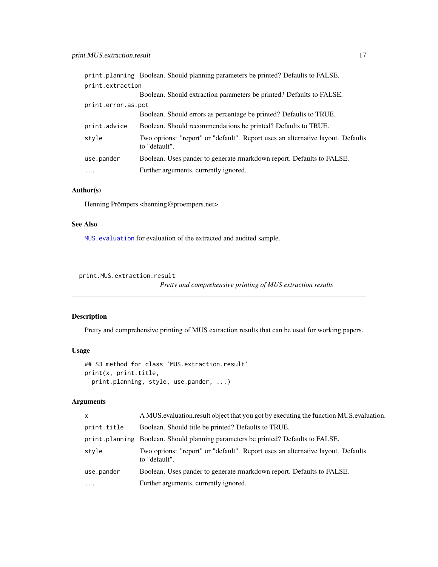<span id="page-16-0"></span>

|                    | print.planning Boolean. Should planning parameters be printed? Defaults to FALSE.                |
|--------------------|--------------------------------------------------------------------------------------------------|
| print.extraction   |                                                                                                  |
|                    | Boolean. Should extraction parameters be printed? Defaults to FALSE.                             |
| print.error.as.pct |                                                                                                  |
|                    | Boolean. Should errors as percentage be printed? Defaults to TRUE.                               |
| print.advice       | Boolean. Should recommendations be printed? Defaults to TRUE.                                    |
| style              | Two options: "report" or "default". Report uses an alternative layout. Defaults<br>to "default". |
| use.pander         | Boolean. Uses pander to generate rmarkdown report. Defaults to FALSE.                            |
| $\cdots$           | Further arguments, currently ignored.                                                            |

Henning Prömpers <henning@proempers.net>

# See Also

[MUS.evaluation](#page-6-1) for evaluation of the extracted and audited sample.

```
print.MUS.extraction.result
```
*Pretty and comprehensive printing of MUS extraction results*

#### Description

Pretty and comprehensive printing of MUS extraction results that can be used for working papers.

# Usage

```
## S3 method for class 'MUS.extraction.result'
print(x, print.title,
 print.planning, style, use.pander, ...)
```

| $\mathsf{x}$ | A MUS evaluation result object that you got by executing the function MUS evaluation.            |
|--------------|--------------------------------------------------------------------------------------------------|
| print.title  | Boolean. Should title be printed? Defaults to TRUE.                                              |
|              | print. planning Boolean. Should planning parameters be printed? Defaults to FALSE.               |
| style        | Two options: "report" or "default". Report uses an alternative layout. Defaults<br>to "default". |
| use.pander   | Boolean. Uses pander to generate rmarkdown report. Defaults to FALSE.                            |
| $\cdot$      | Further arguments, currently ignored.                                                            |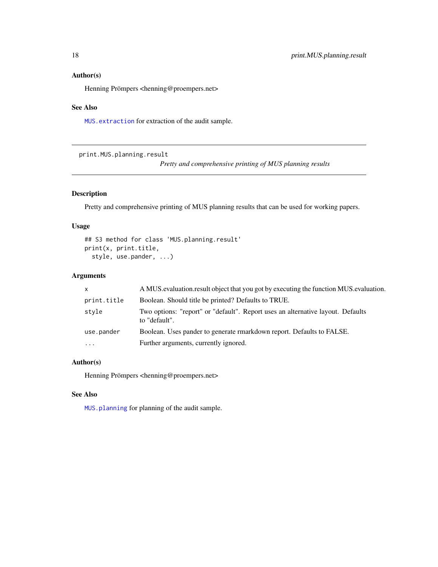<span id="page-17-0"></span>Henning Prömpers <henning@proempers.net>

#### See Also

[MUS.extraction](#page-9-1) for extraction of the audit sample.

print.MUS.planning.result

*Pretty and comprehensive printing of MUS planning results*

# Description

Pretty and comprehensive printing of MUS planning results that can be used for working papers.

### Usage

```
## S3 method for class 'MUS.planning.result'
print(x, print.title,
 style, use.pander, ...)
```
### Arguments

| $\mathsf{x}$ | A MUS evaluation result object that you got by executing the function MUS evaluation.            |
|--------------|--------------------------------------------------------------------------------------------------|
| print.title  | Boolean. Should title be printed? Defaults to TRUE.                                              |
| style        | Two options: "report" or "default". Report uses an alternative layout. Defaults<br>to "default". |
| use.pander   | Boolean. Uses pander to generate rmarkdown report. Defaults to FALSE.                            |
| $\cdots$     | Further arguments, currently ignored.                                                            |

# Author(s)

Henning Prömpers <henning@proempers.net>

# See Also

[MUS.planning](#page-13-1) for planning of the audit sample.